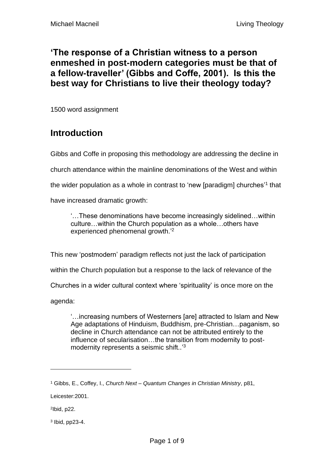#### **'The response of a Christian witness to a person enmeshed in post-modern categories must be that of a fellow-traveller' (Gibbs and Coffe, 2001). Is this the best way for Christians to live their theology today?**

1500 word assignment

# **Introduction**

Gibbs and Coffe in proposing this methodology are addressing the decline in church attendance within the mainline denominations of the West and within the wider population as a whole in contrast to 'new [paradigm] churches'<sup>1</sup> that have increased dramatic growth:

'…These denominations have become increasingly sidelined…within culture…within the Church population as a whole…others have experienced phenomenal growth.<sup>'2</sup>

This new 'postmodern' paradigm reflects not just the lack of participation

within the Church population but a response to the lack of relevance of the

Churches in a wider cultural context where 'spirituality' is once more on the

agenda:

'…increasing numbers of Westerners [are] attracted to Islam and New Age adaptations of Hinduism, Buddhism, pre-Christian…paganism, so decline in Church attendance can not be attributed entirely to the influence of secularisation…the transition from modernity to postmodernity represents a seismic shift..<sup>'3</sup>

3 Ibid, pp23-4.

<sup>1</sup> Gibbs, E., Coffey, I., *Church Next – Quantum Changes in Christian Ministry*, p81,

Leicester:2001.

<sup>2</sup> Ibid, p22.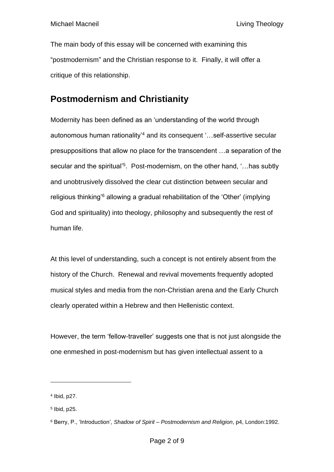The main body of this essay will be concerned with examining this "postmodernism" and the Christian response to it. Finally, it will offer a critique of this relationship.

## **Postmodernism and Christianity**

Modernity has been defined as an 'understanding of the world through autonomous human rationality'<sup>4</sup> and its consequent '…self-assertive secular presuppositions that allow no place for the transcendent …a separation of the secular and the spiritual'<sup>5</sup>. Post-modernism, on the other hand, '...has subtly and unobtrusively dissolved the clear cut distinction between secular and religious thinking'<sup>6</sup> allowing a gradual rehabilitation of the 'Other' (implying God and spirituality) into theology, philosophy and subsequently the rest of human life.

At this level of understanding, such a concept is not entirely absent from the history of the Church. Renewal and revival movements frequently adopted musical styles and media from the non-Christian arena and the Early Church clearly operated within a Hebrew and then Hellenistic context.

However, the term 'fellow-traveller' suggests one that is not just alongside the one enmeshed in post-modernism but has given intellectual assent to a

<sup>4</sup> Ibid, p27.

<sup>5</sup> Ibid, p25.

<sup>6</sup> Berry, P., 'Introduction', *Shadow of Spirit – Postmodernism and Religion*, p4, London:1992.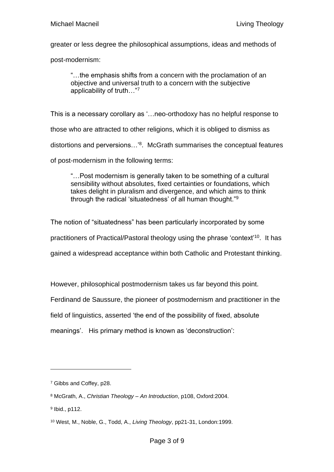greater or less degree the philosophical assumptions, ideas and methods of

post-modernism:

"…the emphasis shifts from a concern with the proclamation of an objective and universal truth to a concern with the subjective applicability of truth…"<sup>7</sup>

This is a necessary corollary as '…neo-orthodoxy has no helpful response to those who are attracted to other religions, which it is obliged to dismiss as distortions and perversions…'<sup>8</sup> . McGrath summarises the conceptual features of post-modernism in the following terms:

"…Post modernism is generally taken to be something of a cultural sensibility without absolutes, fixed certainties or foundations, which takes delight in pluralism and divergence, and which aims to think through the radical 'situatedness' of all human thought."<sup>9</sup>

The notion of "situatedness" has been particularly incorporated by some practitioners of Practical/Pastoral theology using the phrase 'context'<sup>10</sup>. It has gained a widespread acceptance within both Catholic and Protestant thinking.

However, philosophical postmodernism takes us far beyond this point.

Ferdinand de Saussure, the pioneer of postmodernism and practitioner in the

field of linguistics, asserted 'the end of the possibility of fixed, absolute

meanings'. His primary method is known as 'deconstruction':

<sup>7</sup> Gibbs and Coffey, p28.

<sup>8</sup> McGrath, A., *Christian Theology – An Introduction*, p108, Oxford:2004.

<sup>9</sup> Ibid., p112.

<sup>10</sup> West, M., Noble, G., Todd, A., *Living Theology*, pp21-31, London:1999.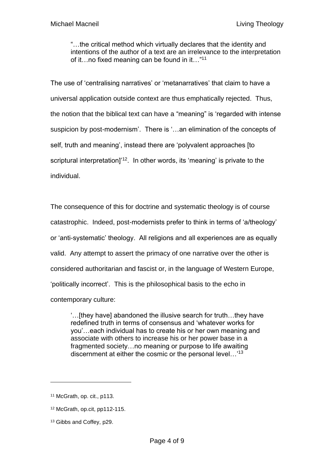"…the critical method which virtually declares that the identity and intentions of the author of a text are an irrelevance to the interpretation of it…no fixed meaning can be found in it…" 11

The use of 'centralising narratives' or 'metanarratives' that claim to have a universal application outside context are thus emphatically rejected. Thus, the notion that the biblical text can have a "meaning" is 'regarded with intense suspicion by post-modernism'. There is '…an elimination of the concepts of self, truth and meaning', instead there are 'polyvalent approaches [to scriptural interpretation]<sup>'12</sup>. In other words, its 'meaning' is private to the individual.

The consequence of this for doctrine and systematic theology is of course catastrophic. Indeed, post-modernists prefer to think in terms of 'a/theology' or 'anti-systematic' theology. All religions and all experiences are as equally valid. Any attempt to assert the primacy of one narrative over the other is considered authoritarian and fascist or, in the language of Western Europe, 'politically incorrect'. This is the philosophical basis to the echo in contemporary culture:

'…[they have] abandoned the illusive search for truth…they have redefined truth in terms of consensus and 'whatever works for you'…each individual has to create his or her own meaning and associate with others to increase his or her power base in a fragmented society…no meaning or purpose to life awaiting discernment at either the cosmic or the personal level…'<sup>13</sup>

<sup>11</sup> McGrath, op. cit., p113.

<sup>12</sup> McGrath, op.cit, pp112-115.

<sup>&</sup>lt;sup>13</sup> Gibbs and Coffey, p29.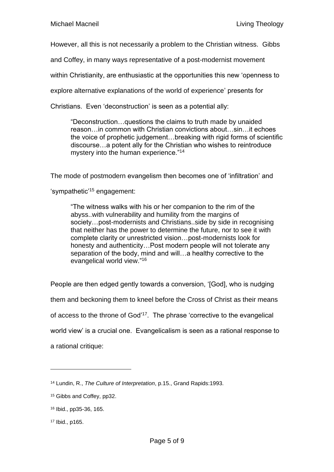However, all this is not necessarily a problem to the Christian witness. Gibbs

and Coffey, in many ways representative of a post-modernist movement

within Christianity, are enthusiastic at the opportunities this new 'openness to

explore alternative explanations of the world of experience' presents for

Christians. Even 'deconstruction' is seen as a potential ally:

"Deconstruction…questions the claims to truth made by unaided reason…in common with Christian convictions about…sin…it echoes the voice of prophetic judgement…breaking with rigid forms of scientific discourse…a potent ally for the Christian who wishes to reintroduce mystery into the human experience."<sup>14</sup>

The mode of postmodern evangelism then becomes one of 'infiltration' and

'sympathetic'<sup>15</sup> engagement:

"The witness walks with his or her companion to the rim of the abyss..with vulnerability and humility from the margins of society…post-modernists and Christians..side by side in recognising that neither has the power to determine the future, nor to see it with complete clarity or unrestricted vision…post-modernists look for honesty and authenticity...Post modern people will not tolerate any separation of the body, mind and will…a healthy corrective to the evangelical world view." 16

People are then edged gently towards a conversion, '[God], who is nudging them and beckoning them to kneel before the Cross of Christ as their means of access to the throne of God<sup>117</sup>. The phrase 'corrective to the evangelical world view' is a crucial one. Evangelicalism is seen as a rational response to a rational critique:

<sup>14</sup> Lundin, R., *The Culture of Interpretation*, p.15., Grand Rapids:1993.

<sup>15</sup> Gibbs and Coffey, pp32.

<sup>16</sup> Ibid., pp35-36, 165.

<sup>17</sup> Ibid., p165.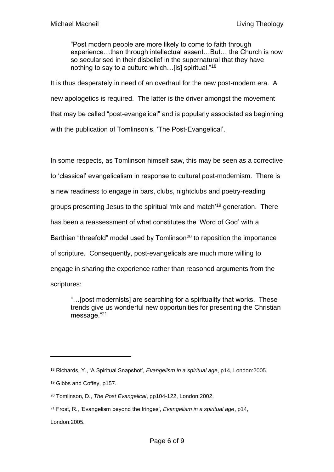"Post modern people are more likely to come to faith through experience…than through intellectual assent…But… the Church is now so secularised in their disbelief in the supernatural that they have nothing to say to a culture which…[is] spiritual."<sup>18</sup>

It is thus desperately in need of an overhaul for the new post-modern era. A new apologetics is required. The latter is the driver amongst the movement that may be called "post-evangelical" and is popularly associated as beginning with the publication of Tomlinson's, 'The Post-Evangelical'.

In some respects, as Tomlinson himself saw, this may be seen as a corrective to 'classical' evangelicalism in response to cultural post-modernism. There is a new readiness to engage in bars, clubs, nightclubs and poetry-reading groups presenting Jesus to the spiritual 'mix and match'<sup>19</sup> generation. There has been a reassessment of what constitutes the 'Word of God' with a Barthian "threefold" model used by Tomlinson<sup>20</sup> to reposition the importance of scripture. Consequently, post-evangelicals are much more willing to engage in sharing the experience rather than reasoned arguments from the scriptures:

"…[post modernists] are searching for a spirituality that works. These trends give us wonderful new opportunities for presenting the Christian message."<sup>21</sup>

London:2005.

<sup>18</sup> Richards, Y., 'A Spiritual Snapshot', *Evangelism in a spiritual age*, p14, London:2005.

<sup>19</sup> Gibbs and Coffey, p157.

<sup>20</sup> Tomlinson, D., *The Post Evangelical*, pp104-122, London:2002.

<sup>21</sup> Frost, R., 'Evangelism beyond the fringes', *Evangelism in a spiritual age*, p14,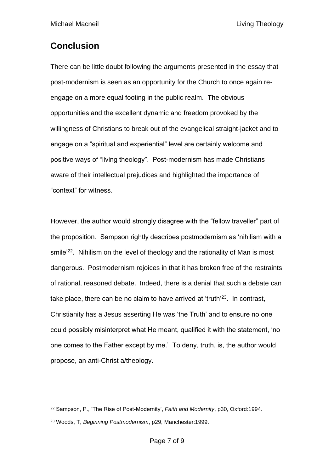# **Conclusion**

There can be little doubt following the arguments presented in the essay that post-modernism is seen as an opportunity for the Church to once again reengage on a more equal footing in the public realm. The obvious opportunities and the excellent dynamic and freedom provoked by the willingness of Christians to break out of the evangelical straight-jacket and to engage on a "spiritual and experiential" level are certainly welcome and positive ways of "living theology". Post-modernism has made Christians aware of their intellectual prejudices and highlighted the importance of "context" for witness.

However, the author would strongly disagree with the "fellow traveller" part of the proposition. Sampson rightly describes postmodernism as 'nihilism with a smile<sup>'22</sup>. Nihilism on the level of theology and the rationality of Man is most dangerous. Postmodernism rejoices in that it has broken free of the restraints of rational, reasoned debate. Indeed, there is a denial that such a debate can take place, there can be no claim to have arrived at 'truth'<sup>23</sup>. In contrast, Christianity has a Jesus asserting He was 'the Truth' and to ensure no one could possibly misinterpret what He meant, qualified it with the statement, 'no one comes to the Father except by me.' To deny, truth, is, the author would propose, an anti-Christ a/theology.

<sup>22</sup> Sampson, P., 'The Rise of Post-Modernity', *Faith and Modernity*, p30, Oxford:1994.

<sup>23</sup> Woods, T, *Beginning Postmodernism*, p29, Manchester:1999.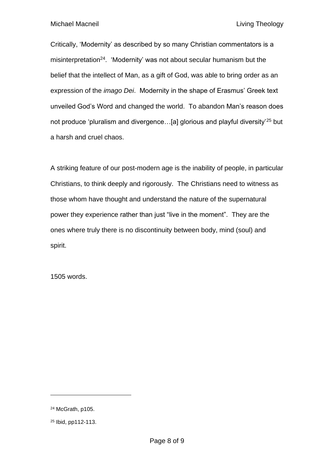Michael Macneil **Michael Macneil** Michael Macneil **Living Theology** 

Critically, 'Modernity' as described by so many Christian commentators is a misinterpretation<sup>24</sup>. 'Modernity' was not about secular humanism but the belief that the intellect of Man, as a gift of God, was able to bring order as an expression of the *imago Dei*. Modernity in the shape of Erasmus' Greek text unveiled God's Word and changed the world. To abandon Man's reason does not produce 'pluralism and divergence…[a] glorious and playful diversity'<sup>25</sup> but a harsh and cruel chaos.

A striking feature of our post-modern age is the inability of people, in particular Christians, to think deeply and rigorously. The Christians need to witness as those whom have thought and understand the nature of the supernatural power they experience rather than just "live in the moment". They are the ones where truly there is no discontinuity between body, mind (soul) and spirit.

1505 words.

<sup>24</sup> McGrath, p105.

<sup>25</sup> Ibid, pp112-113.